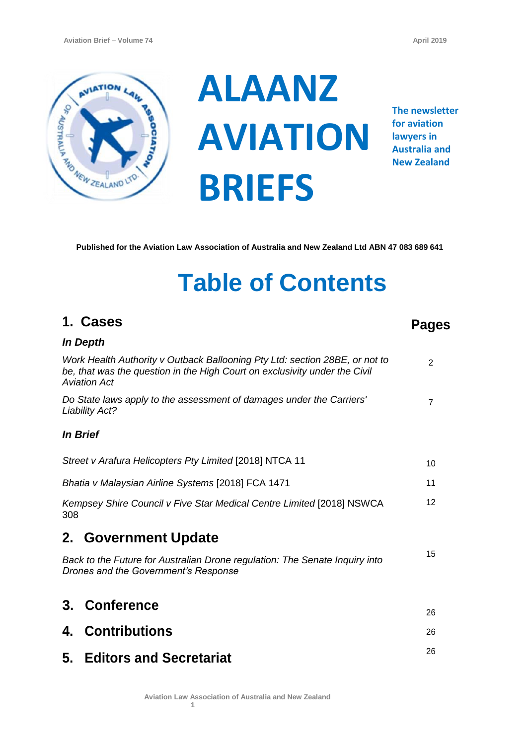

**1. Cases**

**ALAANZ AVIATION BRIEFS**

**The newsletter for aviation lawyers in Australia and New Zealand**

**Pages**

**Published for the Aviation Law Association of Australia and New Zealand Ltd ABN 47 083 689 641**

# **Table of Contents**

|                                                                                                                                                                                  | <b>In Depth</b>                                                                               |                 |
|----------------------------------------------------------------------------------------------------------------------------------------------------------------------------------|-----------------------------------------------------------------------------------------------|-----------------|
| Work Health Authority v Outback Ballooning Pty Ltd: section 28BE, or not to<br>be, that was the question in the High Court on exclusivity under the Civil<br><b>Aviation Act</b> |                                                                                               | 2               |
|                                                                                                                                                                                  | Do State laws apply to the assessment of damages under the Carriers'<br><b>Liability Act?</b> | $\overline{7}$  |
|                                                                                                                                                                                  | <i>In Brief</i>                                                                               |                 |
|                                                                                                                                                                                  | Street v Arafura Helicopters Pty Limited [2018] NTCA 11                                       | 10              |
| Bhatia v Malaysian Airline Systems [2018] FCA 1471                                                                                                                               |                                                                                               | 11              |
| Kempsey Shire Council v Five Star Medical Centre Limited [2018] NSWCA<br>308                                                                                                     |                                                                                               | 12 <sup>°</sup> |
|                                                                                                                                                                                  | 2. Government Update                                                                          |                 |
| Back to the Future for Australian Drone regulation: The Senate Inquiry into<br>Drones and the Government's Response                                                              |                                                                                               | 15              |
|                                                                                                                                                                                  | 3. Conference                                                                                 | 26              |
|                                                                                                                                                                                  | 4. Contributions                                                                              | 26              |
|                                                                                                                                                                                  | 5. Editors and Secretariat                                                                    | 26              |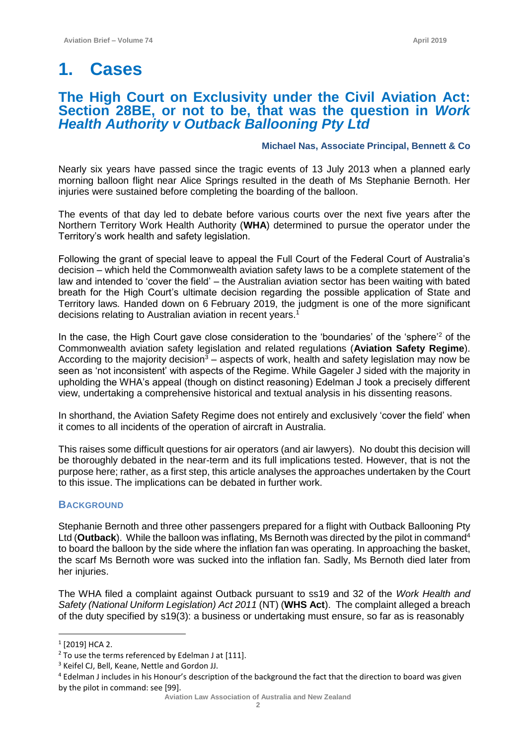# **The High Court on Exclusivity under the Civil Aviation Act: Section 28BE, or not to be, that was the question in** *Work Health Authority v Outback Ballooning Pty Ltd*

## **Michael Nas, Associate Principal, Bennett & Co**

Nearly six years have passed since the tragic events of 13 July 2013 when a planned early morning balloon flight near Alice Springs resulted in the death of Ms Stephanie Bernoth. Her injuries were sustained before completing the boarding of the balloon.

The events of that day led to debate before various courts over the next five years after the Northern Territory Work Health Authority (**WHA**) determined to pursue the operator under the Territory's work health and safety legislation.

Following the grant of special leave to appeal the Full Court of the Federal Court of Australia's decision – which held the Commonwealth aviation safety laws to be a complete statement of the law and intended to 'cover the field' – the Australian aviation sector has been waiting with bated breath for the High Court's ultimate decision regarding the possible application of State and Territory laws*.* Handed down on 6 February 2019, the judgment is one of the more significant decisions relating to Australian aviation in recent years.<sup>1</sup>

In the case, the High Court gave close consideration to the 'boundaries' of the 'sphere'<sup>2</sup> of the Commonwealth aviation safety legislation and related regulations (**Aviation Safety Regime**). According to the majority decision<sup>3</sup> – aspects of work, health and safety legislation may now be seen as 'not inconsistent' with aspects of the Regime. While Gageler J sided with the majority in upholding the WHA's appeal (though on distinct reasoning) Edelman J took a precisely different view, undertaking a comprehensive historical and textual analysis in his dissenting reasons.

In shorthand, the Aviation Safety Regime does not entirely and exclusively 'cover the field' when it comes to all incidents of the operation of aircraft in Australia.

This raises some difficult questions for air operators (and air lawyers). No doubt this decision will be thoroughly debated in the near-term and its full implications tested. However, that is not the purpose here; rather, as a first step, this article analyses the approaches undertaken by the Court to this issue. The implications can be debated in further work.

## **BACKGROUND**

Stephanie Bernoth and three other passengers prepared for a flight with Outback Ballooning Pty Ltd (Outback). While the balloon was inflating, Ms Bernoth was directed by the pilot in command<sup>4</sup> to board the balloon by the side where the inflation fan was operating. In approaching the basket, the scarf Ms Bernoth wore was sucked into the inflation fan. Sadly, Ms Bernoth died later from her injuries.

The WHA filed a complaint against Outback pursuant to ss19 and 32 of the *Work Health and Safety (National Uniform Legislation) Act 2011* (NT) (**WHS Act**). The complaint alleged a breach of the duty specified by s19(3): a business or undertaking must ensure, so far as is reasonably

<sup>1</sup> [2019] HCA 2.

<sup>&</sup>lt;sup>2</sup> To use the terms referenced by Edelman J at [111].

<sup>3</sup> Keifel CJ, Bell, Keane, Nettle and Gordon JJ.

<sup>4</sup> Edelman J includes in his Honour's description of the background the fact that the direction to board was given by the pilot in command: see [99].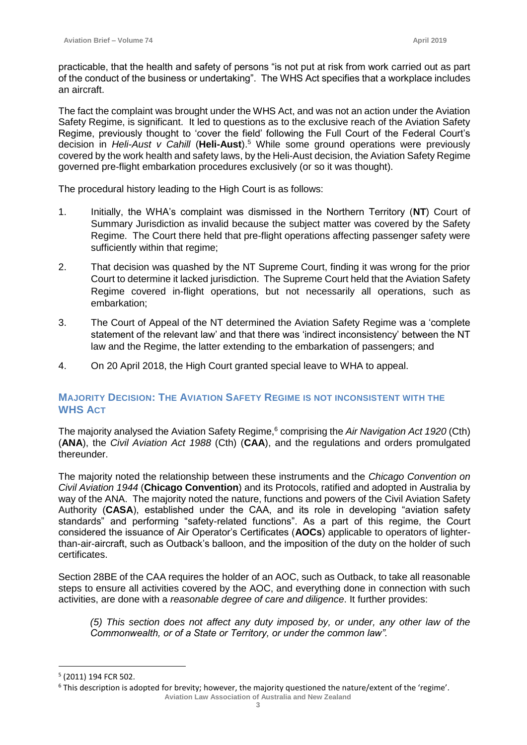practicable, that the health and safety of persons "is not put at risk from work carried out as part of the conduct of the business or undertaking". The WHS Act specifies that a workplace includes an aircraft.

The fact the complaint was brought under the WHS Act, and was not an action under the Aviation Safety Regime, is significant. It led to questions as to the exclusive reach of the Aviation Safety Regime, previously thought to 'cover the field' following the Full Court of the Federal Court's decision in *Heli-Aust v Cahill* (**Heli-Aust**).<sup>5</sup> While some ground operations were previously covered by the work health and safety laws, by the Heli-Aust decision, the Aviation Safety Regime governed pre-flight embarkation procedures exclusively (or so it was thought).

The procedural history leading to the High Court is as follows:

- 1. Initially, the WHA's complaint was dismissed in the Northern Territory (**NT**) Court of Summary Jurisdiction as invalid because the subject matter was covered by the Safety Regime. The Court there held that pre-flight operations affecting passenger safety were sufficiently within that regime;
- 2. That decision was quashed by the NT Supreme Court, finding it was wrong for the prior Court to determine it lacked jurisdiction. The Supreme Court held that the Aviation Safety Regime covered in-flight operations, but not necessarily all operations, such as embarkation;
- 3. The Court of Appeal of the NT determined the Aviation Safety Regime was a 'complete statement of the relevant law' and that there was 'indirect inconsistency' between the NT law and the Regime, the latter extending to the embarkation of passengers; and
- 4. On 20 April 2018, the High Court granted special leave to WHA to appeal.

# **MAJORITY DECISION: THE AVIATION SAFETY REGIME IS NOT INCONSISTENT WITH THE WHS ACT**

The majority analysed the Aviation Safety Regime,<sup>6</sup> comprising the *Air Navigation Act 1920* (Cth) (**ANA**), the *Civil Aviation Act 1988* (Cth) (**CAA**), and the regulations and orders promulgated thereunder.

The majority noted the relationship between these instruments and the *Chicago Convention on Civil Aviation 1944* (**Chicago Convention**) and its Protocols, ratified and adopted in Australia by way of the ANA. The majority noted the nature, functions and powers of the Civil Aviation Safety Authority (**CASA**), established under the CAA, and its role in developing "aviation safety standards" and performing "safety-related functions". As a part of this regime, the Court considered the issuance of Air Operator's Certificates (**AOCs**) applicable to operators of lighterthan-air-aircraft, such as Outback's balloon, and the imposition of the duty on the holder of such certificates.

Section 28BE of the CAA requires the holder of an AOC, such as Outback, to take all reasonable steps to ensure all activities covered by the AOC, and everything done in connection with such activities, are done with a *reasonable degree of care and diligence*. It further provides:

*(5) This section does not affect any duty imposed by, or under, any other law of the Commonwealth, or of a State or Territory, or under the common law".*

<sup>5</sup> (2011) 194 FCR 502.

**Aviation Law Association of Australia and New Zealand** <sup>6</sup> This description is adopted for brevity; however, the majority questioned the nature/extent of the 'regime'.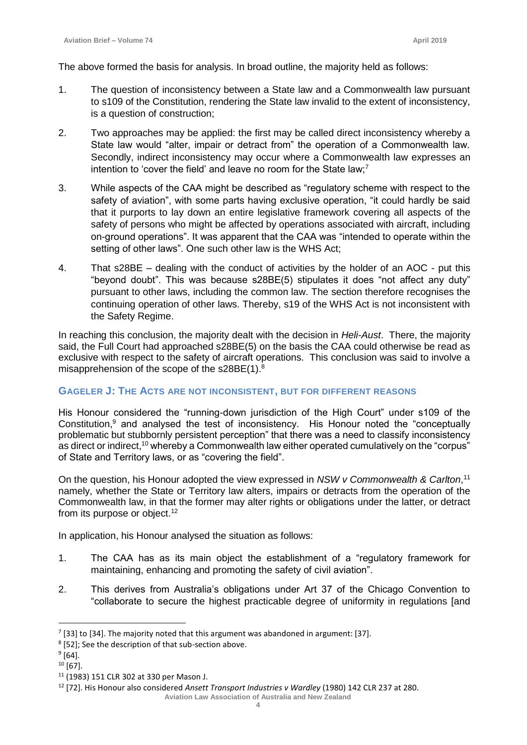The above formed the basis for analysis. In broad outline, the majority held as follows:

- 1. The question of inconsistency between a State law and a Commonwealth law pursuant to s109 of the Constitution, rendering the State law invalid to the extent of inconsistency, is a question of construction;
- 2. Two approaches may be applied: the first may be called direct inconsistency whereby a State law would "alter, impair or detract from" the operation of a Commonwealth law. Secondly, indirect inconsistency may occur where a Commonwealth law expresses an intention to 'cover the field' and leave no room for the State law;<sup>7</sup>
- 3. While aspects of the CAA might be described as "regulatory scheme with respect to the safety of aviation", with some parts having exclusive operation, "it could hardly be said that it purports to lay down an entire legislative framework covering all aspects of the safety of persons who might be affected by operations associated with aircraft, including on-ground operations". It was apparent that the CAA was "intended to operate within the setting of other laws". One such other law is the WHS Act;
- 4. That s28BE dealing with the conduct of activities by the holder of an AOC put this "beyond doubt". This was because s28BE(5) stipulates it does "not affect any duty" pursuant to other laws, including the common law. The section therefore recognises the continuing operation of other laws. Thereby, s19 of the WHS Act is not inconsistent with the Safety Regime.

In reaching this conclusion, the majority dealt with the decision in *Heli-Aust*. There, the majority said, the Full Court had approached s28BE(5) on the basis the CAA could otherwise be read as exclusive with respect to the safety of aircraft operations. This conclusion was said to involve a misapprehension of the scope of the s28BE(1).<sup>8</sup>

# **GAGELER J: THE ACTS ARE NOT INCONSISTENT, BUT FOR DIFFERENT REASONS**

His Honour considered the "running-down jurisdiction of the High Court" under s109 of the Constitution, $9$  and analysed the test of inconsistency. His Honour noted the "conceptually problematic but stubbornly persistent perception" that there was a need to classify inconsistency as direct or indirect,<sup>10</sup> whereby a Commonwealth law either operated cumulatively on the "corpus" of State and Territory laws, or as "covering the field".

On the question, his Honour adopted the view expressed in *NSW v Commonwealth & Carlton*, 11 namely, whether the State or Territory law alters, impairs or detracts from the operation of the Commonwealth law, in that the former may alter rights or obligations under the latter, or detract from its purpose or object.<sup>12</sup>

In application, his Honour analysed the situation as follows:

- 1. The CAA has as its main object the establishment of a "regulatory framework for maintaining, enhancing and promoting the safety of civil aviation".
- 2. This derives from Australia's obligations under Art 37 of the Chicago Convention to "collaborate to secure the highest practicable degree of uniformity in regulations [and

 $7$  [33] to [34]. The majority noted that this argument was abandoned in argument: [37].

<sup>&</sup>lt;sup>8</sup> [52]; See the description of that sub-section above.

 $^9$  [64].

 $10$  [67].

<sup>11</sup> (1983) 151 CLR 302 at 330 per Mason J.

<sup>12</sup> [72]. His Honour also considered *Ansett Transport Industries v Wardley* (1980) 142 CLR 237 at 280.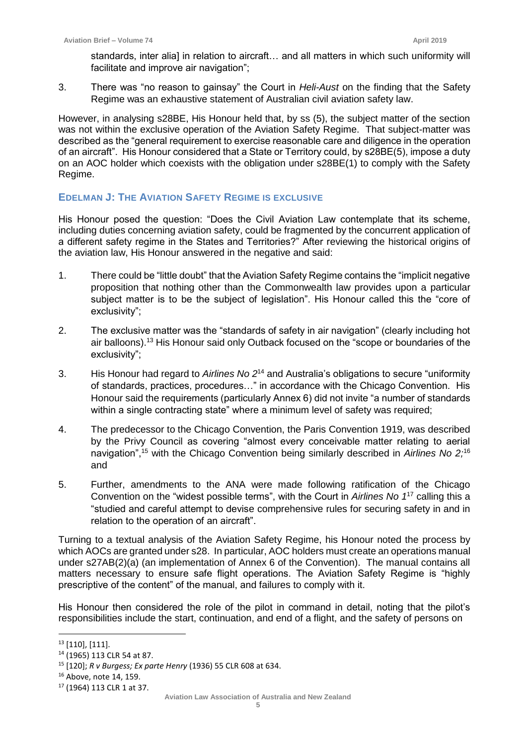standards, inter alial in relation to aircraft... and all matters in which such uniformity will facilitate and improve air navigation";

3. There was "no reason to gainsay" the Court in *Heli-Aust* on the finding that the Safety Regime was an exhaustive statement of Australian civil aviation safety law.

However, in analysing s28BE, His Honour held that, by ss (5), the subject matter of the section was not within the exclusive operation of the Aviation Safety Regime. That subject-matter was described as the "general requirement to exercise reasonable care and diligence in the operation of an aircraft". His Honour considered that a State or Territory could, by s28BE(5), impose a duty on an AOC holder which coexists with the obligation under s28BE(1) to comply with the Safety Regime.

# **EDELMAN J: THE AVIATION SAFETY REGIME IS EXCLUSIVE**

His Honour posed the question: "Does the Civil Aviation Law contemplate that its scheme, including duties concerning aviation safety, could be fragmented by the concurrent application of a different safety regime in the States and Territories?" After reviewing the historical origins of the aviation law, His Honour answered in the negative and said:

- 1. There could be "little doubt" that the Aviation Safety Regime contains the "implicit negative proposition that nothing other than the Commonwealth law provides upon a particular subject matter is to be the subject of legislation". His Honour called this the "core of exclusivity";
- 2. The exclusive matter was the "standards of safety in air navigation" (clearly including hot air balloons).<sup>13</sup> His Honour said only Outback focused on the "scope or boundaries of the exclusivity";
- 3. His Honour had regard to *Airlines No 2*<sup>14</sup> and Australia's obligations to secure "uniformity of standards, practices, procedures…" in accordance with the Chicago Convention. His Honour said the requirements (particularly Annex 6) did not invite "a number of standards within a single contracting state" where a minimum level of safety was required;
- 4. The predecessor to the Chicago Convention, the Paris Convention 1919, was described by the Privy Council as covering "almost every conceivable matter relating to aerial navigation",<sup>15</sup> with the Chicago Convention being similarly described in *Airlines No 2;*<sup>16</sup> and
- 5. Further, amendments to the ANA were made following ratification of the Chicago Convention on the "widest possible terms", with the Court in *Airlines No 1*<sup>17</sup> calling this a "studied and careful attempt to devise comprehensive rules for securing safety in and in relation to the operation of an aircraft".

Turning to a textual analysis of the Aviation Safety Regime, his Honour noted the process by which AOCs are granted under s28. In particular, AOC holders must create an operations manual under s27AB(2)(a) (an implementation of Annex 6 of the Convention). The manual contains all matters necessary to ensure safe flight operations. The Aviation Safety Regime is "highly prescriptive of the content" of the manual, and failures to comply with it.

His Honour then considered the role of the pilot in command in detail, noting that the pilot's responsibilities include the start, continuation, and end of a flight, and the safety of persons on

<sup>13</sup> [110], [111].

<sup>14</sup> (1965) 113 CLR 54 at 87.

<sup>15</sup> [120]; *R v Burgess; Ex parte Henry* (1936) 55 CLR 608 at 634.

<sup>16</sup> Above, note 14, 159.

<sup>17</sup> (1964) 113 CLR 1 at 37.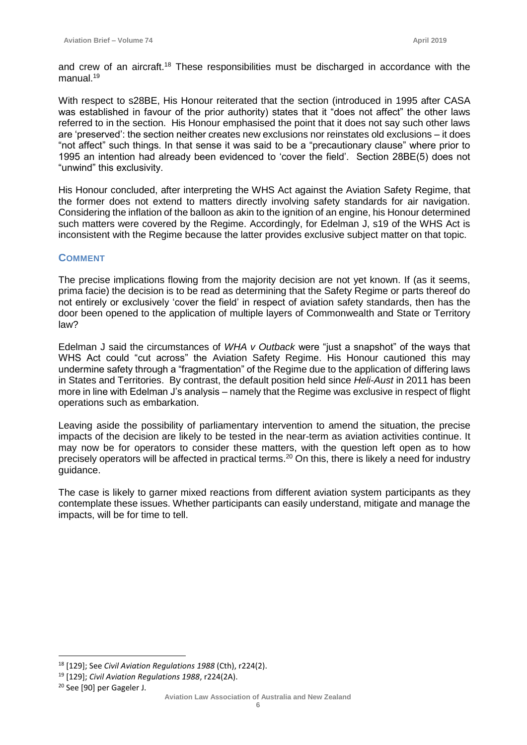and crew of an aircraft.<sup>18</sup> These responsibilities must be discharged in accordance with the manual.<sup>19</sup>

With respect to s28BE, His Honour reiterated that the section (introduced in 1995 after CASA was established in favour of the prior authority) states that it "does not affect" the other laws referred to in the section. His Honour emphasised the point that it does not say such other laws are 'preserved': the section neither creates new exclusions nor reinstates old exclusions – it does "not affect" such things. In that sense it was said to be a "precautionary clause" where prior to 1995 an intention had already been evidenced to 'cover the field'. Section 28BE(5) does not "unwind" this exclusivity.

His Honour concluded, after interpreting the WHS Act against the Aviation Safety Regime, that the former does not extend to matters directly involving safety standards for air navigation. Considering the inflation of the balloon as akin to the ignition of an engine, his Honour determined such matters were covered by the Regime. Accordingly, for Edelman J, s19 of the WHS Act is inconsistent with the Regime because the latter provides exclusive subject matter on that topic.

#### **COMMENT**

The precise implications flowing from the majority decision are not yet known. If (as it seems, prima facie) the decision is to be read as determining that the Safety Regime or parts thereof do not entirely or exclusively 'cover the field' in respect of aviation safety standards, then has the door been opened to the application of multiple layers of Commonwealth and State or Territory law?

Edelman J said the circumstances of *WHA v Outback* were "just a snapshot" of the ways that WHS Act could "cut across" the Aviation Safety Regime. His Honour cautioned this may undermine safety through a "fragmentation" of the Regime due to the application of differing laws in States and Territories. By contrast, the default position held since *Heli-Aust* in 2011 has been more in line with Edelman J's analysis – namely that the Regime was exclusive in respect of flight operations such as embarkation.

Leaving aside the possibility of parliamentary intervention to amend the situation, the precise impacts of the decision are likely to be tested in the near-term as aviation activities continue. It may now be for operators to consider these matters, with the question left open as to how precisely operators will be affected in practical terms.<sup>20</sup> On this, there is likely a need for industry guidance.

The case is likely to garner mixed reactions from different aviation system participants as they contemplate these issues. Whether participants can easily understand, mitigate and manage the impacts, will be for time to tell.

<sup>18</sup> [129]; See *Civil Aviation Regulations 1988* (Cth), r224(2).

<sup>19</sup> [129]; *Civil Aviation Regulations 1988*, r224(2A).

<sup>20</sup> See [90] per Gageler J.

**Aviation Law Association of Australia and New Zealand**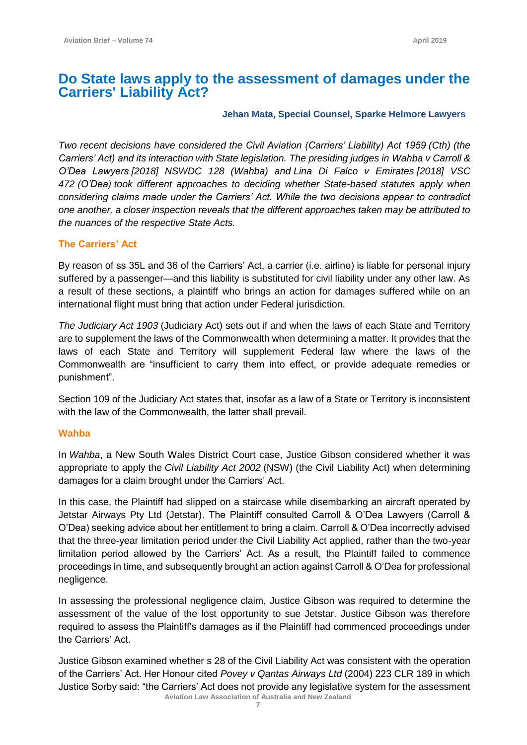# **Do State laws apply to the assessment of damages under the Carriers' Liability Act?**

# **Jehan Mata, Special Counsel, Sparke Helmore Lawyers**

*Two recent decisions have considered the Civil Aviation (Carriers' Liability) Act 1959 (Cth) (the Carriers' Act) and its interaction with State legislation. The presiding judges in Wahba v Carroll & O'Dea Lawyers [2018] NSWDC 128 (Wahba) and Lina Di Falco v Emirates [2018] VSC 472 (O'Dea) took different approaches to deciding whether State-based statutes apply when considering claims made under the Carriers' Act. While the two decisions appear to contradict one another, a closer inspection reveals that the different approaches taken may be attributed to the nuances of the respective State Acts.*

# **The Carriers' Act**

By reason of ss 35L and 36 of the Carriers' Act, a carrier (i.e. airline) is liable for personal injury suffered by a passenger—and this liability is substituted for civil liability under any other law. As a result of these sections, a plaintiff who brings an action for damages suffered while on an international flight must bring that action under Federal jurisdiction.

*The Judiciary Act 1903* (Judiciary Act) sets out if and when the laws of each State and Territory are to supplement the laws of the Commonwealth when determining a matter. It provides that the laws of each State and Territory will supplement Federal law where the laws of the Commonwealth are "insufficient to carry them into effect, or provide adequate remedies or punishment".

Section 109 of the Judiciary Act states that, insofar as a law of a State or Territory is inconsistent with the law of the Commonwealth, the latter shall prevail.

# **Wahba**

In *Wahba*, a New South Wales District Court case, Justice Gibson considered whether it was appropriate to apply the *Civil Liability Act 2002* (NSW) (the Civil Liability Act) when determining damages for a claim brought under the Carriers' Act.

In this case, the Plaintiff had slipped on a staircase while disembarking an aircraft operated by Jetstar Airways Pty Ltd (Jetstar). The Plaintiff consulted Carroll & O'Dea Lawyers (Carroll & O'Dea) seeking advice about her entitlement to bring a claim. Carroll & O'Dea incorrectly advised that the three-year limitation period under the Civil Liability Act applied, rather than the two-year limitation period allowed by the Carriers' Act. As a result, the Plaintiff failed to commence proceedings in time, and subsequently brought an action against Carroll & O'Dea for professional negligence.

In assessing the professional negligence claim, Justice Gibson was required to determine the assessment of the value of the lost opportunity to sue Jetstar. Justice Gibson was therefore required to assess the Plaintiff's damages as if the Plaintiff had commenced proceedings under the Carriers' Act.

 **Aviation Law Association of Australia and New Zealand** Justice Gibson examined whether s 28 of the Civil Liability Act was consistent with the operation of the Carriers' Act. Her Honour cited *Povey v Qantas Airways Ltd* (2004) 223 CLR 189 in which Justice Sorby said: "the Carriers' Act does not provide any legislative system for the assessment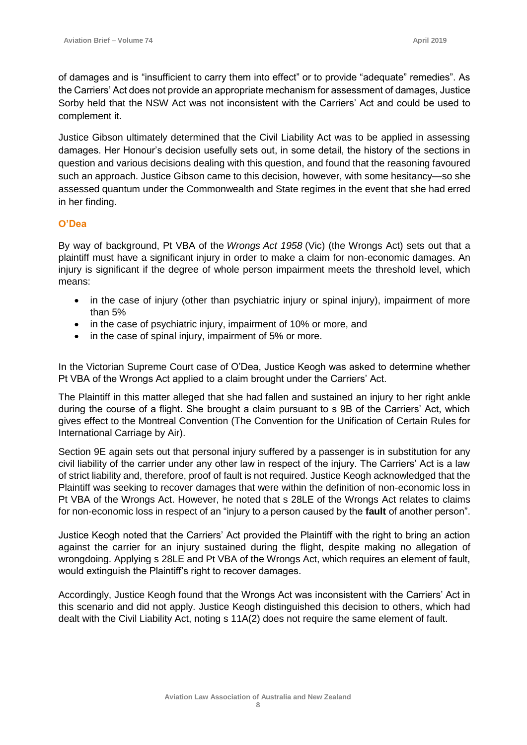of damages and is "insufficient to carry them into effect" or to provide "adequate" remedies". As the Carriers' Act does not provide an appropriate mechanism for assessment of damages, Justice Sorby held that the NSW Act was not inconsistent with the Carriers' Act and could be used to complement it.

Justice Gibson ultimately determined that the Civil Liability Act was to be applied in assessing damages. Her Honour's decision usefully sets out, in some detail, the history of the sections in question and various decisions dealing with this question, and found that the reasoning favoured such an approach. Justice Gibson came to this decision, however, with some hesitancy—so she assessed quantum under the Commonwealth and State regimes in the event that she had erred in her finding.

# **O'Dea**

By way of background, Pt VBA of the *Wrongs Act 1958* (Vic) (the Wrongs Act) sets out that a plaintiff must have a significant injury in order to make a claim for non-economic damages. An injury is significant if the degree of whole person impairment meets the threshold level, which means:

- in the case of injury (other than psychiatric injury or spinal injury), impairment of more than 5%
- in the case of psychiatric injury, impairment of 10% or more, and
- in the case of spinal injury, impairment of 5% or more.

In the Victorian Supreme Court case of O'Dea, Justice Keogh was asked to determine whether Pt VBA of the Wrongs Act applied to a claim brought under the Carriers' Act.

The Plaintiff in this matter alleged that she had fallen and sustained an injury to her right ankle during the course of a flight. She brought a claim pursuant to s 9B of the Carriers' Act, which gives effect to the Montreal Convention (The Convention for the Unification of Certain Rules for International Carriage by Air).

Section 9E again sets out that personal injury suffered by a passenger is in substitution for any civil liability of the carrier under any other law in respect of the injury. The Carriers' Act is a law of strict liability and, therefore, proof of fault is not required. Justice Keogh acknowledged that the Plaintiff was seeking to recover damages that were within the definition of non-economic loss in Pt VBA of the Wrongs Act. However, he noted that s 28LE of the Wrongs Act relates to claims for non-economic loss in respect of an "injury to a person caused by the **fault** of another person".

Justice Keogh noted that the Carriers' Act provided the Plaintiff with the right to bring an action against the carrier for an injury sustained during the flight, despite making no allegation of wrongdoing. Applying s 28LE and Pt VBA of the Wrongs Act, which requires an element of fault, would extinguish the Plaintiff's right to recover damages.

Accordingly, Justice Keogh found that the Wrongs Act was inconsistent with the Carriers' Act in this scenario and did not apply. Justice Keogh distinguished this decision to others, which had dealt with the Civil Liability Act, noting s 11A(2) does not require the same element of fault.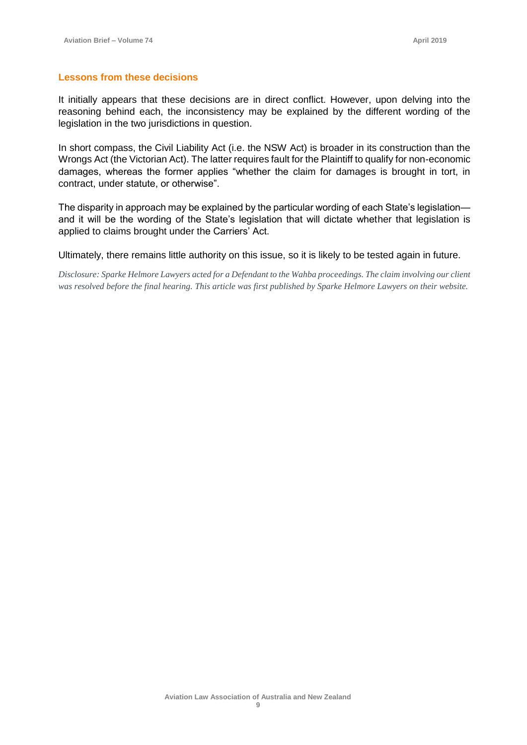#### **Lessons from these decisions**

It initially appears that these decisions are in direct conflict. However, upon delving into the reasoning behind each, the inconsistency may be explained by the different wording of the legislation in the two jurisdictions in question.

In short compass, the Civil Liability Act (i.e. the NSW Act) is broader in its construction than the Wrongs Act (the Victorian Act). The latter requires fault for the Plaintiff to qualify for non-economic damages, whereas the former applies "whether the claim for damages is brought in tort, in contract, under statute, or otherwise".

The disparity in approach may be explained by the particular wording of each State's legislation and it will be the wording of the State's legislation that will dictate whether that legislation is applied to claims brought under the Carriers' Act.

Ultimately, there remains little authority on this issue, so it is likely to be tested again in future.

*Disclosure: Sparke Helmore Lawyers acted for a Defendant to the Wahba proceedings. The claim involving our client was resolved before the final hearing. This article was first published by Sparke Helmore Lawyers on their website.*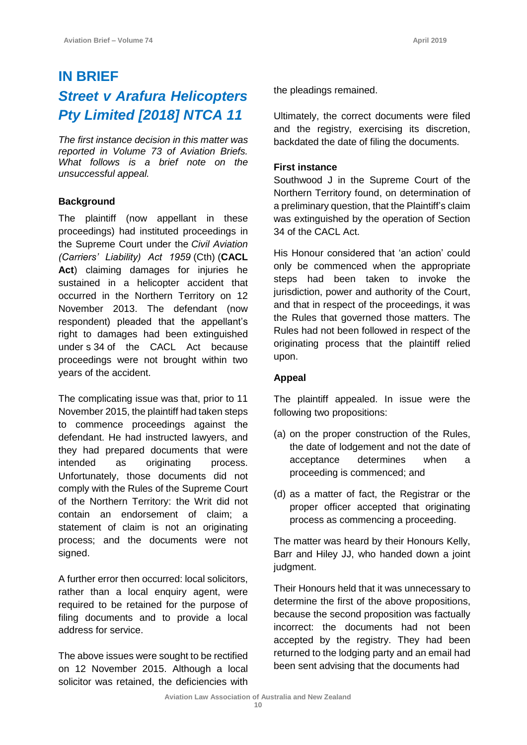# **IN BRIEF** *Street v Arafura Helicopters Pty Limited [2018] NTCA 11*

*The first instance decision in this matter was reported in Volume 73 of Aviation Briefs. What follows is a brief note on the unsuccessful appeal.*

# **Background**

The plaintiff (now appellant in these proceedings) had instituted proceedings in the Supreme Court under the *[Civil Aviation](https://jade.io/article/218797)  [\(Carriers' Liability\) Act 1959](https://jade.io/article/218797)* [\(Cth\)](https://jade.io/article/218797) (**CACL Act**) claiming damages for injuries he sustained in a helicopter accident that occurred in the Northern Territory on 12 November 2013. The defendant (now respondent) pleaded that the appellant's right to damages had been extinguished under s [34](https://jade.io/article/218797/section/5) of the CACL Act because proceedings were not brought within two years of the accident.

The complicating issue was that, prior to 11 November 2015, the plaintiff had taken steps to commence proceedings against the defendant. He had instructed lawyers, and they had prepared documents that were intended as originating process. Unfortunately, those documents did not comply with the Rules of the Supreme Court of the Northern Territory: the Writ did not contain an endorsement of claim; a statement of claim is not an originating process; and the documents were not signed.

A further error then occurred: local solicitors, rather than a local enquiry agent, were required to be retained for the purpose of filing documents and to provide a local address for service.

The above issues were sought to be rectified on 12 November 2015. Although a local solicitor was retained, the deficiencies with the pleadings remained.

Ultimately, the correct documents were filed and the registry, exercising its discretion, backdated the date of filing the documents.

# **First instance**

Southwood J in the Supreme Court of the Northern Territory found, on determination of a preliminary question, that the Plaintiff's claim was extinguished by the operation of Section 34 of the CACL Act.

His Honour considered that 'an action' could only be commenced when the appropriate steps had been taken to invoke the jurisdiction, power and authority of the Court, and that in respect of the proceedings, it was the Rules that governed those matters. The Rules had not been followed in respect of the originating process that the plaintiff relied upon.

# **Appeal**

The plaintiff appealed. In issue were the following two propositions:

- (a) on the proper construction of the Rules, the date of lodgement and not the date of acceptance determines when a proceeding is commenced; and
- (d) as a matter of fact, the Registrar or the proper officer accepted that originating process as commencing a proceeding.

The matter was heard by their Honours Kelly, Barr and Hiley JJ, who handed down a joint judgment.

Their Honours held that it was unnecessary to determine the first of the above propositions, because the second proposition was factually incorrect: the documents had not been accepted by the registry. They had been returned to the lodging party and an email had been sent advising that the documents had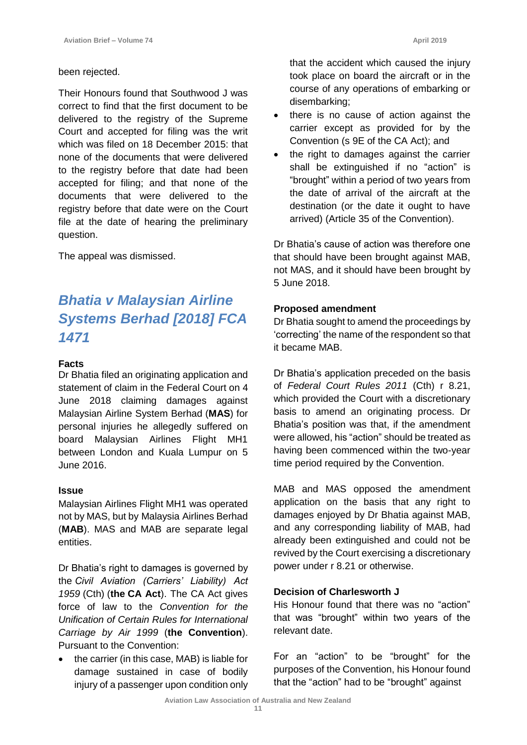## been rejected.

Their Honours found that Southwood J was correct to find that the first document to be delivered to the registry of the Supreme Court and accepted for filing was the writ which was filed on 18 December 2015: that none of the documents that were delivered to the registry before that date had been accepted for filing; and that none of the documents that were delivered to the registry before that date were on the Court file at the date of hearing the preliminary question.

The appeal was dismissed.

# *Bhatia v Malaysian Airline Systems Berhad [2018] FCA 1471*

## **Facts**

Dr Bhatia filed an originating application and statement of claim in the Federal Court on 4 June 2018 claiming damages against Malaysian Airline System Berhad (**MAS**) for personal injuries he allegedly suffered on board Malaysian Airlines Flight MH1 between London and Kuala Lumpur on 5 June 2016.

#### **Issue**

Malaysian Airlines Flight MH1 was operated not by MAS, but by Malaysia Airlines Berhad (**MAB**). MAS and MAB are separate legal entities.

Dr Bhatia's right to damages is governed by the *[Civil Aviation \(Carriers' Liability\) Act](https://jade.io/article/218797)  [1959](https://jade.io/article/218797)* [\(Cth\)](https://jade.io/article/218797) (**the [CA Act](https://jade.io/article/218797)**). The CA Act gives force of law to the *Convention for the Unification of Certain Rules for International Carriage by Air 1999* (**the Convention**). Pursuant to the Convention:

• the carrier (in this case, MAB) is liable for damage sustained in case of bodily injury of a passenger upon condition only

that the accident which caused the injury took place on board the aircraft or in the course of any operations of embarking or disembarking;

- there is no cause of action against the carrier except as provided for by the Convention (s 9E of the CA Act); and
- the right to damages against the carrier shall be extinguished if no "action" is "brought" within a period of two years from the date of arrival of the aircraft at the destination (or the date it ought to have arrived) (Article 35 of the Convention).

Dr Bhatia's cause of action was therefore one that should have been brought against MAB, not MAS, and it should have been brought by 5 June 2018.

#### **Proposed amendment**

Dr Bhatia sought to amend the proceedings by 'correcting' the name of the respondent so that it became MAB.

Dr Bhatia's application preceded on the basis of *Federal Court Rules 2011* (Cth) r 8.21, which provided the Court with a discretionary basis to amend an originating process. Dr Bhatia's position was that, if the amendment were allowed, his "action" should be treated as having been commenced within the two-year time period required by the Convention.

MAB and MAS opposed the amendment application on the basis that any right to damages enjoyed by Dr Bhatia against MAB, and any corresponding liability of MAB, had already been extinguished and could not be revived by the Court exercising a discretionary power under r 8.21 or otherwise.

## **Decision of Charlesworth J**

His Honour found that there was no "action" that was "brought" within two years of the relevant date.

For an "action" to be "brought" for the purposes of the Convention, his Honour found that the "action" had to be "brought" against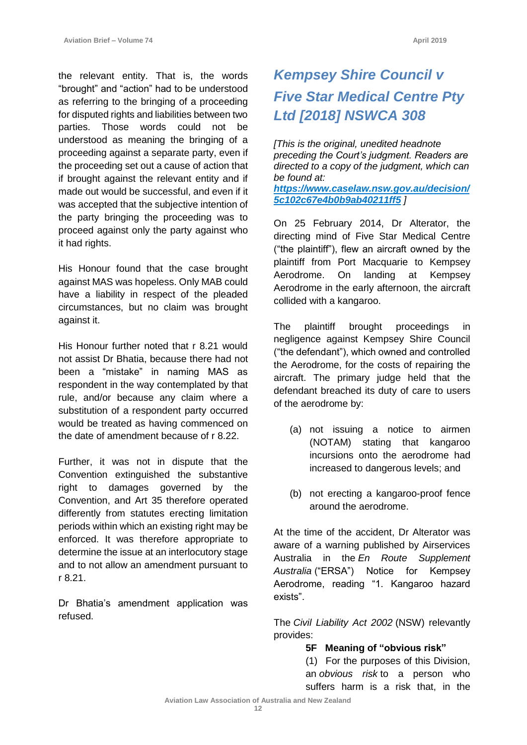the relevant entity. That is, the words "brought" and "action" had to be understood as referring to the bringing of a proceeding for disputed rights and liabilities between two parties. Those words could not be understood as meaning the bringing of a proceeding against a separate party, even if the proceeding set out a cause of action that if brought against the relevant entity and if made out would be successful, and even if it was accepted that the subjective intention of the party bringing the proceeding was to proceed against only the party against who it had rights.

His Honour found that the case brought against MAS was hopeless. Only MAB could have a liability in respect of the pleaded circumstances, but no claim was brought against it.

His Honour further noted that r 8.21 would not assist Dr Bhatia, because there had not been a "mistake" in naming MAS as respondent in the way contemplated by that rule, and/or because any claim where a substitution of a respondent party occurred would be treated as having commenced on the date of amendment because of r 8.22.

Further, it was not in dispute that the Convention extinguished the substantive right to damages governed by the Convention, and Art 35 therefore operated differently from statutes erecting limitation periods within which an existing right may be enforced. It was therefore appropriate to determine the issue at an interlocutory stage and to not allow an amendment pursuant to r 8.21.

Dr Bhatia's amendment application was refused.

# *Kempsey Shire Council v Five Star Medical Centre Pty Ltd [2018] NSWCA 308*

*[This is the original, unedited headnote preceding the Court's judgment. Readers are directed to a copy of the judgment, which can be found at: [https://www.caselaw.nsw.gov.au/decision/](https://www.caselaw.nsw.gov.au/decision/5c102c67e4b0b9ab40211ff5) [5c102c67e4b0b9ab40211ff5](https://www.caselaw.nsw.gov.au/decision/5c102c67e4b0b9ab40211ff5) ]*

On 25 February 2014, Dr Alterator, the directing mind of Five Star Medical Centre ("the plaintiff"), flew an aircraft owned by the plaintiff from Port Macquarie to Kempsey Aerodrome. On landing at Kempsey Aerodrome in the early afternoon, the aircraft collided with a kangaroo.

The plaintiff brought proceedings in negligence against Kempsey Shire Council ("the defendant"), which owned and controlled the Aerodrome, for the costs of repairing the aircraft. The primary judge held that the defendant breached its duty of care to users of the aerodrome by:

- (a) not issuing a notice to airmen (NOTAM) stating that kangaroo incursions onto the aerodrome had increased to dangerous levels; and
- (b) not erecting a kangaroo-proof fence around the aerodrome.

At the time of the accident, Dr Alterator was aware of a warning published by Airservices Australia in the *En Route Supplement Australia* ("ERSA") Notice for Kempsey Aerodrome, reading "1. Kangaroo hazard exists".

The *Civil Liability Act 2002* (NSW) relevantly provides:

# **5F Meaning of "obvious risk"**

(1) For the purposes of this Division, an *obvious risk* to a person who suffers harm is a risk that, in the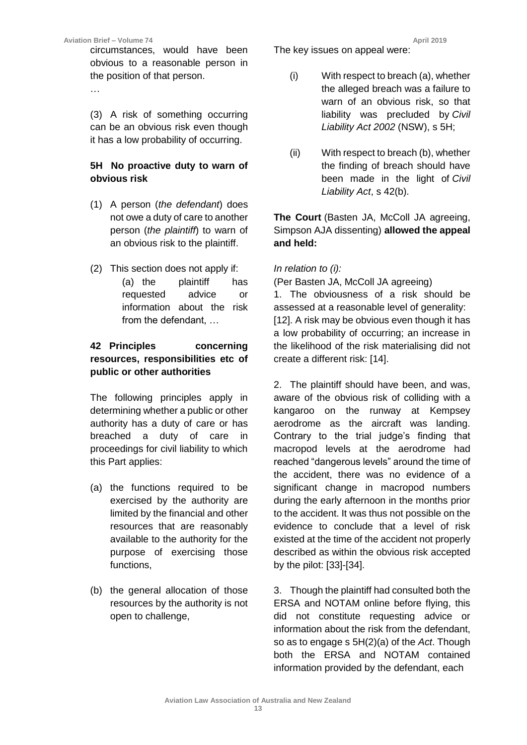circumstances, would have been obvious to a reasonable person in the position of that person.

…

(3) A risk of something occurring can be an obvious risk even though it has a low probability of occurring.

# **5H No proactive duty to warn of obvious risk**

- (1) A person (*the defendant*) does not owe a duty of care to another person (*the plaintiff*) to warn of an obvious risk to the plaintiff.
- (2) This section does not apply if: (a) the plaintiff has requested advice or information about the risk from the defendant, …

# **42 Principles concerning resources, responsibilities etc of public or other authorities**

The following principles apply in determining whether a public or other authority has a duty of care or has breached a duty of care in proceedings for civil liability to which this Part applies:

- (a) the functions required to be exercised by the authority are limited by the financial and other resources that are reasonably available to the authority for the purpose of exercising those functions,
- (b) the general allocation of those resources by the authority is not open to challenge,

The key issues on appeal were:

- (i) With respect to breach (a), whether the alleged breach was a failure to warn of an obvious risk, so that liability was precluded by *Civil Liability Act 2002* (NSW), s 5H;
- (ii) With respect to breach (b), whether the finding of breach should have been made in the light of *Civil Liability Act*, s 42(b).

The Court (Basten JA, McColl JA agreeing, Simpson AJA dissenting) **allowed the appeal and held:**

*In relation to (i):*

(Per Basten JA, McColl JA agreeing)

1. The obviousness of a risk should be assessed at a reasonable level of generality: [12]. A risk may be obvious even though it has a low probability of occurring; an increase in the likelihood of the risk materialising did not create a different risk: [14].

2. The plaintiff should have been, and was, aware of the obvious risk of colliding with a kangaroo on the runway at Kempsey aerodrome as the aircraft was landing. Contrary to the trial judge's finding that macropod levels at the aerodrome had reached "dangerous levels" around the time of the accident, there was no evidence of a significant change in macropod numbers during the early afternoon in the months prior to the accident. It was thus not possible on the evidence to conclude that a level of risk existed at the time of the accident not properly described as within the obvious risk accepted by the pilot: [33]-[34].

3. Though the plaintiff had consulted both the ERSA and NOTAM online before flying, this did not constitute requesting advice or information about the risk from the defendant, so as to engage s 5H(2)(a) of the *Act*. Though both the ERSA and NOTAM contained information provided by the defendant, each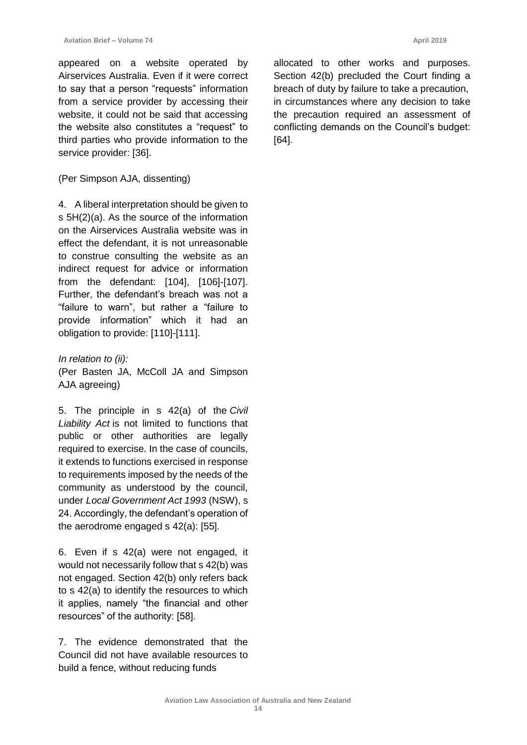appeared on a website operated by Airservices Australia. Even if it were correct to say that a person "requests" information from a service provider by accessing their website, it could not be said that accessing the website also constitutes a "request" to third parties who provide information to the service provider: [36].

# (Per Simpson AJA, dissenting)

4. A liberal interpretation should be given to s 5H(2)(a). As the source of the information on the Airservices Australia website was in effect the defendant, it is not unreasonable to construe consulting the website as an indirect request for advice or information from the defendant: [104], [106]-[107]. Further, the defendant's breach was not a "failure to warn", but rather a "failure to provide information" which it had an obligation to provide: [110]-[111].

*In relation to (ii):* (Per Basten JA, McColl JA and Simpson AJA agreeing)

5. The principle in s 42(a) of the *Civil Liability Act* is not limited to functions that public or other authorities are legally required to exercise. In the case of councils, it extends to functions exercised in response to requirements imposed by the needs of the community as understood by the council, under *Local Government Act 1993* (NSW), s 24. Accordingly, the defendant's operation of the aerodrome engaged s 42(a): [55].

6. Even if s 42(a) were not engaged, it would not necessarily follow that s 42(b) was not engaged. Section 42(b) only refers back to s 42(a) to identify the resources to which it applies, namely "the financial and other resources" of the authority: [58].

7. The evidence demonstrated that the Council did not have available resources to build a fence, without reducing funds

allocated to other works and purposes. Section 42(b) precluded the Court finding a breach of duty by failure to take a precaution, in circumstances where any decision to take the precaution required an assessment of conflicting demands on the Council's budget: [64].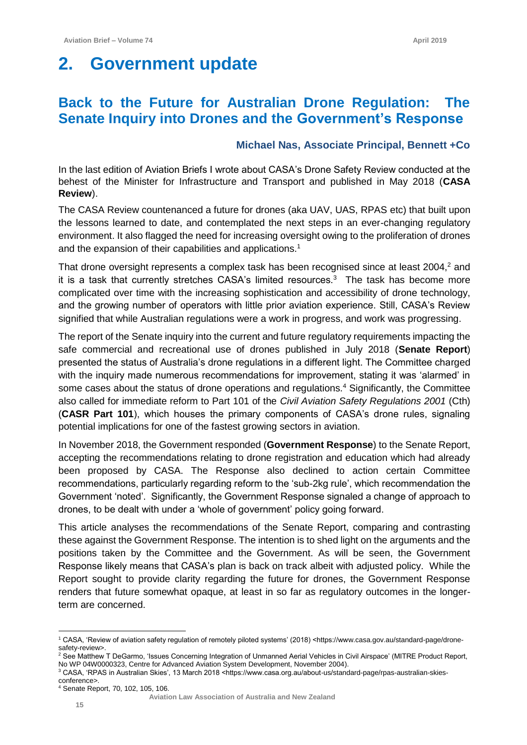# **2. Government update**

# **Back to the Future for Australian Drone Regulation: The Senate Inquiry into Drones and the Government's Response**

# **Michael Nas, Associate Principal, Bennett +Co**

In the last edition of Aviation Briefs I wrote about CASA's Drone Safety Review conducted at the behest of the Minister for Infrastructure and Transport and published in May 2018 (**CASA Review**).

The CASA Review countenanced a future for drones (aka UAV, UAS, RPAS etc) that built upon the lessons learned to date, and contemplated the next steps in an ever-changing regulatory environment. It also flagged the need for increasing oversight owing to the proliferation of drones and the expansion of their capabilities and applications.<sup>1</sup>

That drone oversight represents a complex task has been recognised since at least 2004,<sup>2</sup> and it is a task that currently stretches CASA's limited resources.<sup>3</sup> The task has become more complicated over time with the increasing sophistication and accessibility of drone technology, and the growing number of operators with little prior aviation experience. Still, CASA's Review signified that while Australian regulations were a work in progress, and work was progressing.

The report of the Senate inquiry into the current and future regulatory requirements impacting the safe commercial and recreational use of drones published in July 2018 (**Senate Report**) presented the status of Australia's drone regulations in a different light. The Committee charged with the inquiry made numerous recommendations for improvement, stating it was 'alarmed' in some cases about the status of drone operations and regulations.<sup>4</sup> Significantly, the Committee also called for immediate reform to Part 101 of the *Civil Aviation Safety Regulations 2001* (Cth) (**CASR Part 101**), which houses the primary components of CASA's drone rules, signaling potential implications for one of the fastest growing sectors in aviation.

In November 2018, the Government responded (**Government Response**) to the Senate Report, accepting the recommendations relating to drone registration and education which had already been proposed by CASA. The Response also declined to action certain Committee recommendations, particularly regarding reform to the 'sub-2kg rule', which recommendation the Government 'noted'. Significantly, the Government Response signaled a change of approach to drones, to be dealt with under a 'whole of government' policy going forward.

This article analyses the recommendations of the Senate Report, comparing and contrasting these against the Government Response. The intention is to shed light on the arguments and the positions taken by the Committee and the Government. As will be seen, the Government Response likely means that CASA's plan is back on track albeit with adjusted policy. While the Report sought to provide clarity regarding the future for drones, the Government Response renders that future somewhat opaque, at least in so far as regulatory outcomes in the longerterm are concerned.

 $\overline{a}$ <sup>1</sup> CASA, 'Review of aviation safety regulation of remotely piloted systems' (2018) <https://www.casa.gov.au/standard-page/dronesafety-review>.

<sup>&</sup>lt;sup>2</sup> See Matthew T DeGarmo, 'Issues Concerning Integration of Unmanned Aerial Vehicles in Civil Airspace' (MITRE Product Report, No WP 04W0000323, Centre for Advanced Aviation System Development, November 2004).

<sup>&</sup>lt;sup>3</sup> CASA, 'RPAS in Australian Skies', 13 March 2018 <https://www.casa.org.au/about-us/standard-page/rpas-australian-skiesconference>.

<sup>4</sup> Senate Report, 70, 102, 105, 106.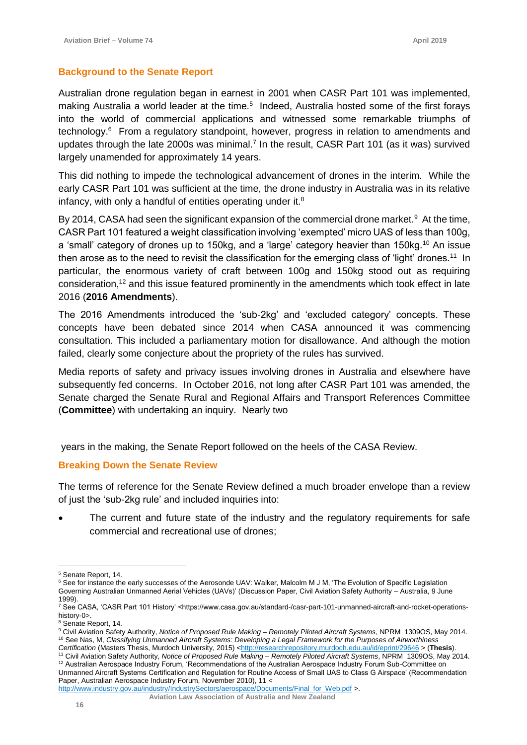# **Background to the Senate Report**

Australian drone regulation began in earnest in 2001 when CASR Part 101 was implemented, making Australia a world leader at the time.<sup>5</sup> Indeed, Australia hosted some of the first forays into the world of commercial applications and witnessed some remarkable triumphs of technology.<sup>6</sup> From a regulatory standpoint, however, progress in relation to amendments and updates through the late 2000s was minimal.<sup>7</sup> In the result, CASR Part 101 (as it was) survived largely unamended for approximately 14 years.

This did nothing to impede the technological advancement of drones in the interim. While the early CASR Part 101 was sufficient at the time, the drone industry in Australia was in its relative infancy, with only a handful of entities operating under it.<sup>8</sup>

By 2014, CASA had seen the significant expansion of the commercial drone market.<sup>9</sup> At the time, CASR Part 101 featured a weight classification involving 'exempted' micro UAS of less than 100g, a 'small' category of drones up to 150kg, and a 'large' category heavier than 150kg.<sup>10</sup> An issue then arose as to the need to revisit the classification for the emerging class of 'light' drones.<sup>11</sup> In particular, the enormous variety of craft between 100g and 150kg stood out as requiring consideration,<sup>12</sup> and this issue featured prominently in the amendments which took effect in late 2016 (**2016 Amendments**).

The 2016 Amendments introduced the 'sub-2kg' and 'excluded category' concepts. These concepts have been debated since 2014 when CASA announced it was commencing consultation. This included a parliamentary motion for disallowance. And although the motion failed, clearly some conjecture about the propriety of the rules has survived.

Media reports of safety and privacy issues involving drones in Australia and elsewhere have subsequently fed concerns. In October 2016, not long after CASR Part 101 was amended, the Senate charged the Senate Rural and Regional Affairs and Transport References Committee (**Committee**) with undertaking an inquiry. Nearly two

years in the making, the Senate Report followed on the heels of the CASA Review.

## **Breaking Down the Senate Review**

The terms of reference for the Senate Review defined a much broader envelope than a review of just the 'sub-2kg rule' and included inquiries into:

The current and future state of the industry and the regulatory requirements for safe commercial and recreational use of drones;

 $\overline{a}$ <sup>5</sup> Senate Report, 14.

<sup>&</sup>lt;sup>6</sup> See for instance the early successes of the Aerosonde UAV: Walker, Malcolm M J M, 'The Evolution of Specific Legislation Governing Australian Unmanned Aerial Vehicles (UAVs)' (Discussion Paper, Civil Aviation Safety Authority – Australia, 9 June 1999).

<sup>7</sup> See CASA, 'CASR Part 101 History' <https://www.casa.gov.au/standard-/casr-part-101-unmanned-aircraft-and-rocket-operationshistory-0>.

<sup>&</sup>lt;sup>8</sup> Senate Report, 14.

<sup>9</sup> Civil Aviation Safety Authority, *Notice of Proposed Rule Making – Remotely Piloted Aircraft Systems*, NPRM 1309OS, May 2014. <sup>10</sup> See Nas, M, *Classifying Unmanned Aircraft Systems: Developing a Legal Framework for the Purposes of Airworthiness* 

Certification (Masters Thesis, Murdoch University, 2015) [<http://researchrepository.murdoch.edu.au/id/eprint/29646](http://researchrepository.murdoch.edu.au/id/eprint/29646) > (Thesis). <sup>11</sup> Civil Aviation Safety Authority, *Notice of Proposed Rule Making – Remotely Piloted Aircraft Systems*, NPRM 1309OS, May 2014. 12 Australian Aerospace Industry Forum, 'Recommendations of the Australian Aerospace Industry Forum Sub-Committee on

Unmanned Aircraft Systems Certification and Regulation for Routine Access of Small UAS to Class G Airspace' (Recommendation Paper, Australian Aerospace Industry Forum, November 2010), 11 <

[http://www.industry.gov.au/industry/IndustrySectors/aerospace/Documents/Final\\_for\\_Web.pdf](http://www.industry.gov.au/industry/IndustrySectors/aerospace/Documents/Final_for_Web.pdf) >.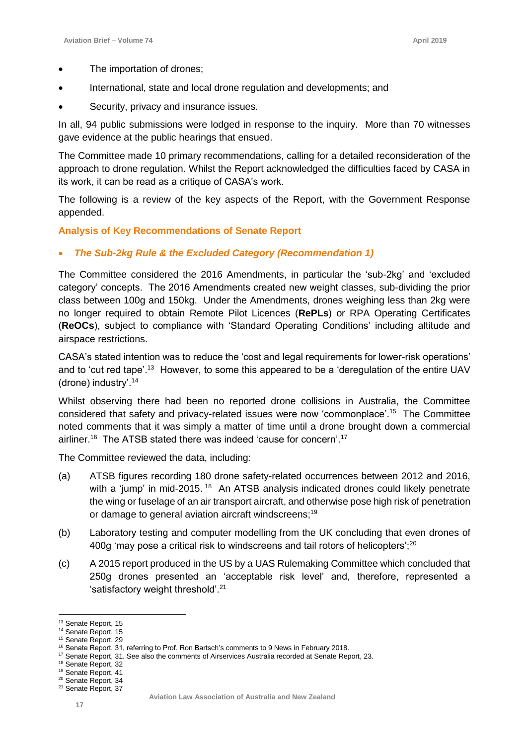- The importation of drones;
- International, state and local drone regulation and developments; and
- Security, privacy and insurance issues.

In all, 94 public submissions were lodged in response to the inquiry. More than 70 witnesses gave evidence at the public hearings that ensued.

The Committee made 10 primary recommendations, calling for a detailed reconsideration of the approach to drone regulation. Whilst the Report acknowledged the difficulties faced by CASA in its work, it can be read as a critique of CASA's work.

The following is a review of the key aspects of the Report, with the Government Response appended.

#### **Analysis of Key Recommendations of Senate Report**

#### • *The Sub-2kg Rule & the Excluded Category (Recommendation 1)*

The Committee considered the 2016 Amendments, in particular the 'sub-2kg' and 'excluded category' concepts. The 2016 Amendments created new weight classes, sub-dividing the prior class between 100g and 150kg. Under the Amendments, drones weighing less than 2kg were no longer required to obtain Remote Pilot Licences (**RePLs**) or RPA Operating Certificates (**ReOCs**), subject to compliance with 'Standard Operating Conditions' including altitude and airspace restrictions.

CASA's stated intention was to reduce the 'cost and legal requirements for lower-risk operations' and to 'cut red tape'.<sup>13</sup> However, to some this appeared to be a 'deregulation of the entire UAV (drone) industry'.<sup>14</sup>

Whilst observing there had been no reported drone collisions in Australia, the Committee considered that safety and privacy-related issues were now 'commonplace'.<sup>15</sup> The Committee noted comments that it was simply a matter of time until a drone brought down a commercial airliner.<sup>16</sup> The ATSB stated there was indeed 'cause for concern'.<sup>17</sup>

The Committee reviewed the data, including:

- (a) ATSB figures recording 180 drone safety-related occurrences between 2012 and 2016, with a 'jump' in mid-2015.<sup>18</sup> An ATSB analysis indicated drones could likely penetrate the wing or fuselage of an air transport aircraft, and otherwise pose high risk of penetration or damage to general aviation aircraft windscreens;<sup>19</sup>
- (b) Laboratory testing and computer modelling from the UK concluding that even drones of 400g 'may pose a critical risk to windscreens and tail rotors of helicopters'; $^{20}$
- (c) A 2015 report produced in the US by a UAS Rulemaking Committee which concluded that 250g drones presented an 'acceptable risk level' and, therefore, represented a 'satisfactory weight threshold'.<sup>21</sup>

<sup>&</sup>lt;sup>13</sup> Senate Report, 15

<sup>&</sup>lt;sup>14</sup> Senate Report, 15 <sup>15</sup> Senate Report, 29

<sup>&</sup>lt;sup>16</sup> Senate Report, 31, referring to Prof. Ron Bartsch's comments to 9 News in February 2018.

<sup>&</sup>lt;sup>17</sup> Senate Report, 31. See also the comments of Airservices Australia recorded at Senate Report, 23.

<sup>18</sup> Senate Report, 32

<sup>19</sup> Senate Report, 41

<sup>&</sup>lt;sup>20</sup> Senate Report, 34

<sup>&</sup>lt;sup>21</sup> Senate Report, 37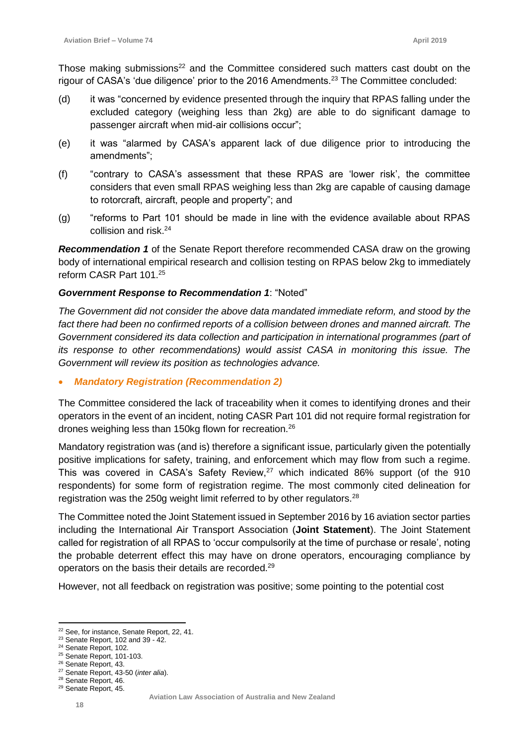Those making submissions<sup>22</sup> and the Committee considered such matters cast doubt on the rigour of CASA's 'due diligence' prior to the 2016 Amendments.<sup>23</sup> The Committee concluded:

- (d) it was "concerned by evidence presented through the inquiry that RPAS falling under the excluded category (weighing less than 2kg) are able to do significant damage to passenger aircraft when mid-air collisions occur";
- (e) it was "alarmed by CASA's apparent lack of due diligence prior to introducing the amendments";
- (f) "contrary to CASA's assessment that these RPAS are 'lower risk', the committee considers that even small RPAS weighing less than 2kg are capable of causing damage to rotorcraft, aircraft, people and property"; and
- (g) "reforms to Part 101 should be made in line with the evidence available about RPAS collision and risk.<sup>24</sup>

*Recommendation 1* of the Senate Report therefore recommended CASA draw on the growing body of international empirical research and collision testing on RPAS below 2kg to immediately reform CASR Part 101.<sup>25</sup>

# *Government Response to Recommendation 1*: "Noted"

*The Government did not consider the above data mandated immediate reform, and stood by the fact there had been no confirmed reports of a collision between drones and manned aircraft. The Government considered its data collection and participation in international programmes (part of its response to other recommendations*) would assist CASA in monitoring this issue. The *Government will review its position as technologies advance.*

• *Mandatory Registration (Recommendation 2)*

The Committee considered the lack of traceability when it comes to identifying drones and their operators in the event of an incident, noting CASR Part 101 did not require formal registration for drones weighing less than 150kg flown for recreation.<sup>26</sup>

Mandatory registration was (and is) therefore a significant issue, particularly given the potentially positive implications for safety, training, and enforcement which may flow from such a regime. This was covered in CASA's Safety Review, $27$  which indicated 86% support (of the 910 respondents) for some form of registration regime. The most commonly cited delineation for registration was the 250g weight limit referred to by other regulators.<sup>28</sup>

The Committee noted the Joint Statement issued in September 2016 by 16 aviation sector parties including the International Air Transport Association (**Joint Statement**). The Joint Statement called for registration of all RPAS to 'occur compulsorily at the time of purchase or resale', noting the probable deterrent effect this may have on drone operators, encouraging compliance by operators on the basis their details are recorded.<sup>29</sup>

However, not all feedback on registration was positive; some pointing to the potential cost

 $\overline{a}$ <sup>22</sup> See, for instance, Senate Report, 22, 41.

<sup>23</sup> Senate Report, 102 and 39 - 42.

<sup>&</sup>lt;sup>24</sup> Senate Report, 102.

<sup>25</sup> Senate Report, 101-103.

<sup>26</sup> Senate Report, 43.

<sup>27</sup> Senate Report, 43-50 (*inter alia*).

<sup>28</sup> Senate Report, 46. <sup>29</sup> Senate Report, 45.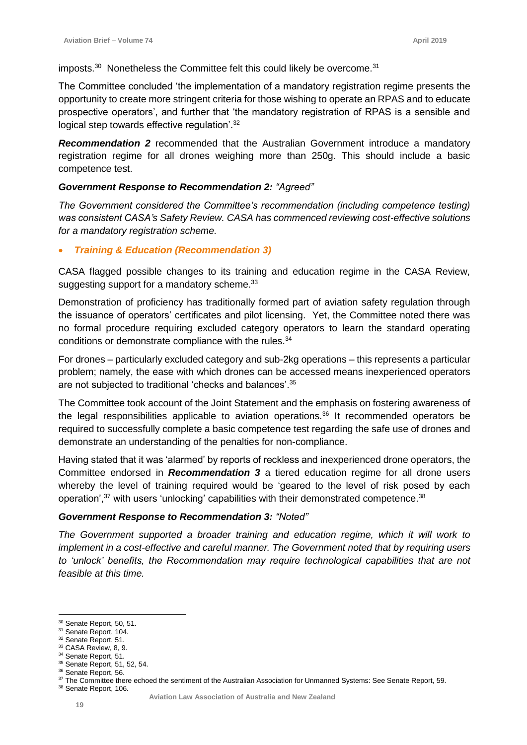imposts. $^{30}$  Nonetheless the Committee felt this could likely be overcome. $^{31}$ 

The Committee concluded 'the implementation of a mandatory registration regime presents the opportunity to create more stringent criteria for those wishing to operate an RPAS and to educate prospective operators', and further that 'the mandatory registration of RPAS is a sensible and logical step towards effective regulation'.<sup>32</sup>

*Recommendation 2* recommended that the Australian Government introduce a mandatory registration regime for all drones weighing more than 250g. This should include a basic competence test.

#### *Government Response to Recommendation 2: "Agreed"*

*The Government considered the Committee's recommendation (including competence testing) was consistent CASA's Safety Review. CASA has commenced reviewing cost-effective solutions for a mandatory registration scheme.* 

#### • *Training & Education (Recommendation 3)*

CASA flagged possible changes to its training and education regime in the CASA Review, suggesting support for a mandatory scheme.<sup>33</sup>

Demonstration of proficiency has traditionally formed part of aviation safety regulation through the issuance of operators' certificates and pilot licensing. Yet, the Committee noted there was no formal procedure requiring excluded category operators to learn the standard operating conditions or demonstrate compliance with the rules.<sup>34</sup>

For drones – particularly excluded category and sub-2kg operations – this represents a particular problem; namely, the ease with which drones can be accessed means inexperienced operators are not subjected to traditional 'checks and balances'.<sup>35</sup>

The Committee took account of the Joint Statement and the emphasis on fostering awareness of the legal responsibilities applicable to aviation operations.<sup>36</sup> It recommended operators be required to successfully complete a basic competence test regarding the safe use of drones and demonstrate an understanding of the penalties for non-compliance.

Having stated that it was 'alarmed' by reports of reckless and inexperienced drone operators, the Committee endorsed in *Recommendation 3* a tiered education regime for all drone users whereby the level of training required would be 'geared to the level of risk posed by each operation',<sup>37</sup> with users 'unlocking' capabilities with their demonstrated competence.<sup>38</sup>

# *Government Response to Recommendation 3: "Noted"*

*The Government supported a broader training and education regime, which it will work to implement in a cost-effective and careful manner. The Government noted that by requiring users to 'unlock' benefits, the Recommendation may require technological capabilities that are not feasible at this time.* 

<sup>&</sup>lt;sup>30</sup> Senate Report, 50, 51.

<sup>&</sup>lt;sup>31</sup> Senate Report, 104.

<sup>32</sup> Senate Report, 51.

<sup>33</sup> CASA Review, 8, 9. <sup>34</sup> Senate Report, 51.

<sup>35</sup> Senate Report, 51, 52, 54.

<sup>&</sup>lt;sup>36</sup> Senate Report, 56.

<sup>&</sup>lt;sup>37</sup> The Committee there echoed the sentiment of the Australian Association for Unmanned Systems: See Senate Report, 59. <sup>38</sup> Senate Report, 106.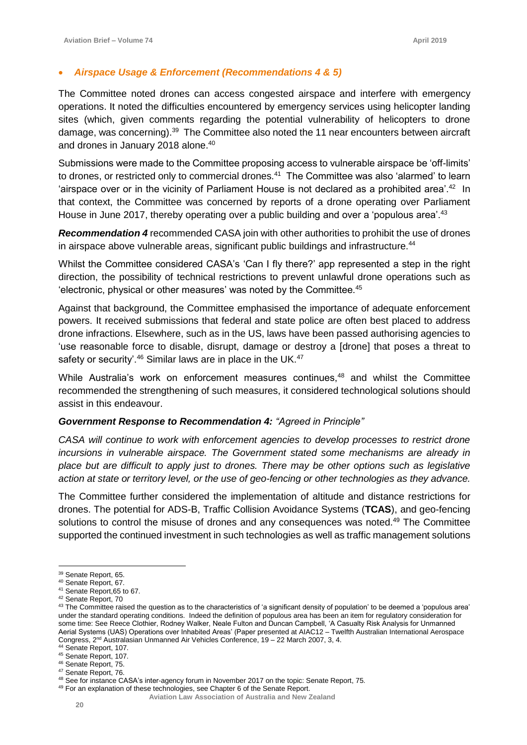# • *Airspace Usage & Enforcement (Recommendations 4 & 5)*

The Committee noted drones can access congested airspace and interfere with emergency operations. It noted the difficulties encountered by emergency services using helicopter landing sites (which, given comments regarding the potential vulnerability of helicopters to drone damage, was concerning).<sup>39</sup> The Committee also noted the 11 near encounters between aircraft and drones in January 2018 alone. $^{40}$ 

Submissions were made to the Committee proposing access to vulnerable airspace be 'off-limits' to drones, or restricted only to commercial drones.<sup>41</sup> The Committee was also 'alarmed' to learn 'airspace over or in the vicinity of Parliament House is not declared as a prohibited area'.<sup>42</sup> In that context, the Committee was concerned by reports of a drone operating over Parliament House in June 2017, thereby operating over a public building and over a 'populous area'.<sup>43</sup>

*Recommendation 4* recommended CASA join with other authorities to prohibit the use of drones in airspace above vulnerable areas, significant public buildings and infrastructure. $44$ 

Whilst the Committee considered CASA's 'Can I fly there?' app represented a step in the right direction, the possibility of technical restrictions to prevent unlawful drone operations such as 'electronic, physical or other measures' was noted by the Committee.<sup>45</sup>

Against that background, the Committee emphasised the importance of adequate enforcement powers. It received submissions that federal and state police are often best placed to address drone infractions. Elsewhere, such as in the US, laws have been passed authorising agencies to 'use reasonable force to disable, disrupt, damage or destroy a [drone] that poses a threat to safety or security'.<sup>46</sup> Similar laws are in place in the UK.<sup>47</sup>

While Australia's work on enforcement measures continues,<sup>48</sup> and whilst the Committee recommended the strengthening of such measures, it considered technological solutions should assist in this endeavour.

## *Government Response to Recommendation 4: "Agreed in Principle"*

*CASA will continue to work with enforcement agencies to develop processes to restrict drone incursions in vulnerable airspace. The Government stated some mechanisms are already in place but are difficult to apply just to drones. There may be other options such as legislative action at state or territory level, or the use of geo-fencing or other technologies as they advance.* 

The Committee further considered the implementation of altitude and distance restrictions for drones. The potential for ADS-B, Traffic Collision Avoidance Systems (**TCAS**), and geo-fencing solutions to control the misuse of drones and any consequences was noted.<sup>49</sup> The Committee supported the continued investment in such technologies as well as traffic management solutions

<sup>&</sup>lt;sup>39</sup> Senate Report, 65.

<sup>40</sup> Senate Report, 67.

<sup>41</sup> Senate Report,65 to 67.

<sup>42</sup> Senate Report, 70

<sup>&</sup>lt;sup>43</sup> The Committee raised the question as to the characteristics of 'a significant density of population' to be deemed a 'populous area' under the standard operating conditions. Indeed the definition of populous area has been an item for regulatory consideration for some time: See Reece Clothier, Rodney Walker, Neale Fulton and Duncan Campbell, 'A Casualty Risk Analysis for Unmanned Aerial Systems (UAS) Operations over Inhabited Areas' (Paper presented at AIAC12 – Twelfth Australian International Aerospace Congress, 2nd Australasian Unmanned Air Vehicles Conference, 19 – 22 March 2007, 3, 4.

<sup>44</sup> Senate Report, 107.

<sup>45</sup> Senate Report, 107.

<sup>46</sup> Senate Report, 75.

<sup>47</sup> Senate Report, 76.

<sup>48</sup> See for instance CASA's inter-agency forum in November 2017 on the topic: Senate Report, 75.

<sup>&</sup>lt;sup>49</sup> For an explanation of these technologies, see Chapter 6 of the Senate Report.

**Aviation Law Association of Australia and New Zealand**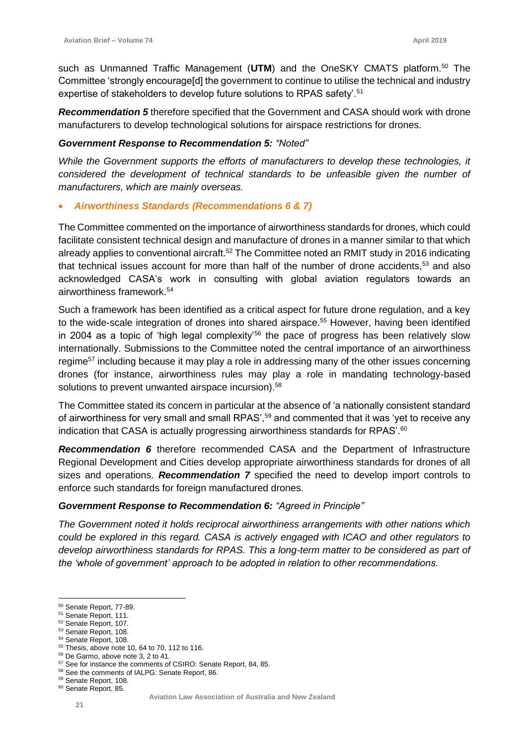such as Unmanned Traffic Management (UTM) and the OneSKY CMATS platform.<sup>50</sup> The Committee 'strongly encourage[d] the government to continue to utilise the technical and industry expertise of stakeholders to develop future solutions to RPAS safety'.<sup>51</sup>

*Recommendation 5* therefore specified that the Government and CASA should work with drone manufacturers to develop technological solutions for airspace restrictions for drones.

## *Government Response to Recommendation 5: "Noted"*

*While the Government supports the efforts of manufacturers to develop these technologies, it considered the development of technical standards to be unfeasible given the number of manufacturers, which are mainly overseas.* 

# • *Airworthiness Standards (Recommendations 6 & 7)*

The Committee commented on the importance of airworthiness standards for drones, which could facilitate consistent technical design and manufacture of drones in a manner similar to that which already applies to conventional aircraft.<sup>52</sup> The Committee noted an RMIT study in 2016 indicating that technical issues account for more than half of the number of drone accidents,<sup>53</sup> and also acknowledged CASA's work in consulting with global aviation regulators towards an airworthiness framework.<sup>54</sup>

Such a framework has been identified as a critical aspect for future drone regulation, and a key to the wide-scale integration of drones into shared airspace.<sup>55</sup> However, having been identified in 2004 as a topic of 'high legal complexity'<sup>56</sup> the pace of progress has been relatively slow internationally. Submissions to the Committee noted the central importance of an airworthiness regime<sup>57</sup> including because it may play a role in addressing many of the other issues concerning drones (for instance, airworthiness rules may play a role in mandating technology-based solutions to prevent unwanted airspace incursion).<sup>58</sup>

The Committee stated its concern in particular at the absence of 'a nationally consistent standard of airworthiness for very small and small RPAS',<sup>59</sup> and commented that it was 'yet to receive any indication that CASA is actually progressing airworthiness standards for RPAS'.<sup>60</sup>

*Recommendation 6* therefore recommended CASA and the Department of Infrastructure Regional Development and Cities develop appropriate airworthiness standards for drones of all sizes and operations. *Recommendation 7* specified the need to develop import controls to enforce such standards for foreign manufactured drones.

## *Government Response to Recommendation 6: "Agreed in Principle"*

*The Government noted it holds reciprocal airworthiness arrangements with other nations which could be explored in this regard. CASA is actively engaged with ICAO and other regulators to develop airworthiness standards for RPAS. This a long-term matter to be considered as part of the 'whole of government' approach to be adopted in relation to other recommendations.* 

 $\overline{a}$ <sup>50</sup> Senate Report, 77-89.

<sup>51</sup> Senate Report, 111.

<sup>52</sup> Senate Report, 107.

<sup>53</sup> Senate Report, 108.

<sup>54</sup> Senate Report, 108.

<sup>55</sup> Thesis, above note 10, 64 to 70, 112 to 116.

<sup>56</sup> De Garmo, above note 3, 2 to 41.

<sup>57</sup> See for instance the comments of CSIRO: Senate Report, 84, 85.

<sup>58</sup> See the comments of IALPG: Senate Report, 86. <sup>59</sup> Senate Report, 108.

<sup>60</sup> Senate Report, 85.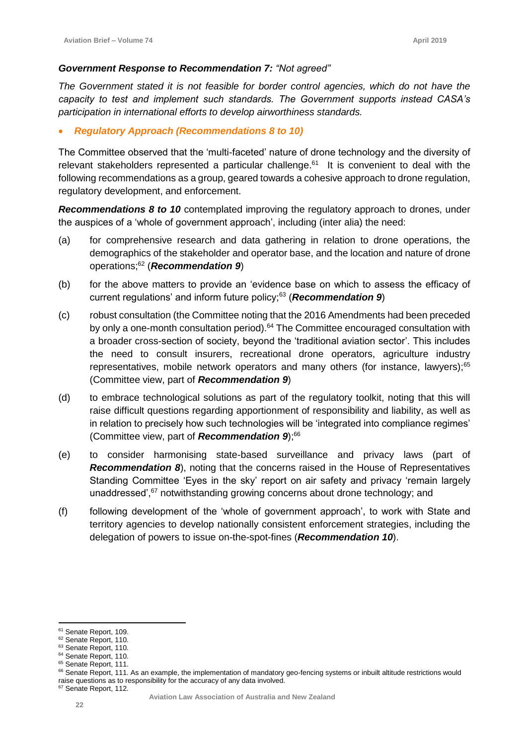## *Government Response to Recommendation 7: "Not agreed"*

*The Government stated it is not feasible for border control agencies, which do not have the capacity to test and implement such standards. The Government supports instead CASA's participation in international efforts to develop airworthiness standards.*

# • *Regulatory Approach (Recommendations 8 to 10)*

The Committee observed that the 'multi-faceted' nature of drone technology and the diversity of relevant stakeholders represented a particular challenge.<sup>61</sup> It is convenient to deal with the following recommendations as a group, geared towards a cohesive approach to drone regulation, regulatory development, and enforcement.

*Recommendations 8 to 10* contemplated improving the regulatory approach to drones, under the auspices of a 'whole of government approach', including (inter alia) the need:

- (a) for comprehensive research and data gathering in relation to drone operations, the demographics of the stakeholder and operator base, and the location and nature of drone operations;<sup>62</sup> (*Recommendation 9*)
- (b) for the above matters to provide an 'evidence base on which to assess the efficacy of current regulations' and inform future policy;<sup>63</sup> (*Recommendation 9*)
- (c) robust consultation (the Committee noting that the 2016 Amendments had been preceded by only a one-month consultation period).<sup>64</sup> The Committee encouraged consultation with a broader cross-section of society, beyond the 'traditional aviation sector'. This includes the need to consult insurers, recreational drone operators, agriculture industry representatives, mobile network operators and many others (for instance, lawyers); $65$ (Committee view, part of *Recommendation 9*)
- (d) to embrace technological solutions as part of the regulatory toolkit, noting that this will raise difficult questions regarding apportionment of responsibility and liability, as well as in relation to precisely how such technologies will be 'integrated into compliance regimes' (Committee view, part of *Recommendation 9*);<sup>66</sup>
- (e) to consider harmonising state-based surveillance and privacy laws (part of *Recommendation 8*), noting that the concerns raised in the House of Representatives Standing Committee 'Eyes in the sky' report on air safety and privacy 'remain largely unaddressed',<sup>67</sup> notwithstanding growing concerns about drone technology; and
- (f) following development of the 'whole of government approach', to work with State and territory agencies to develop nationally consistent enforcement strategies, including the delegation of powers to issue on-the-spot-fines (*Recommendation 10*).

 $\overline{a}$ <sup>61</sup> Senate Report, 109.

<sup>62</sup> Senate Report, 110.

<sup>63</sup> Senate Report, 110.

<sup>&</sup>lt;sup>64</sup> Senate Report, 110.

<sup>&</sup>lt;sup>65</sup> Senate Report, 111.

<sup>66</sup> Senate Report, 111. As an example, the implementation of mandatory geo-fencing systems or inbuilt altitude restrictions would raise questions as to responsibility for the accuracy of any data involved.

<sup>67</sup> Senate Report, 112.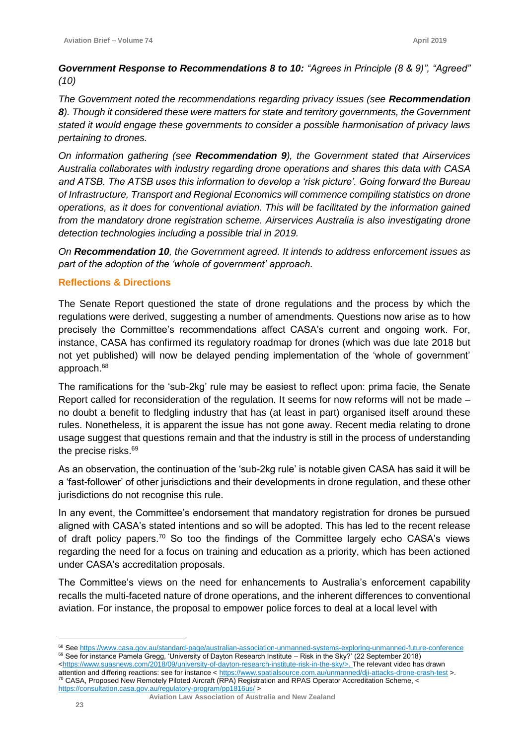*Government Response to Recommendations 8 to 10: "Agrees in Principle (8 & 9)", "Agreed" (10)*

*The Government noted the recommendations regarding privacy issues (see Recommendation 8). Though it considered these were matters for state and territory governments, the Government stated it would engage these governments to consider a possible harmonisation of privacy laws pertaining to drones.* 

*On information gathering (see Recommendation 9), the Government stated that Airservices Australia collaborates with industry regarding drone operations and shares this data with CASA and ATSB. The ATSB uses this information to develop a 'risk picture'. Going forward the Bureau of Infrastructure, Transport and Regional Economics will commence compiling statistics on drone operations, as it does for conventional aviation. This will be facilitated by the information gained from the mandatory drone registration scheme. Airservices Australia is also investigating drone detection technologies including a possible trial in 2019.* 

*On Recommendation 10, the Government agreed. It intends to address enforcement issues as part of the adoption of the 'whole of government' approach.* 

# **Reflections & Directions**

The Senate Report questioned the state of drone regulations and the process by which the regulations were derived, suggesting a number of amendments. Questions now arise as to how precisely the Committee's recommendations affect CASA's current and ongoing work. For, instance, CASA has confirmed its regulatory roadmap for drones (which was due late 2018 but not yet published) will now be delayed pending implementation of the 'whole of government' approach.<sup>68</sup>

The ramifications for the 'sub-2kg' rule may be easiest to reflect upon: prima facie, the Senate Report called for reconsideration of the regulation. It seems for now reforms will not be made – no doubt a benefit to fledgling industry that has (at least in part) organised itself around these rules. Nonetheless, it is apparent the issue has not gone away. Recent media relating to drone usage suggest that questions remain and that the industry is still in the process of understanding the precise risks.<sup>69</sup>

As an observation, the continuation of the 'sub-2kg rule' is notable given CASA has said it will be a 'fast-follower' of other jurisdictions and their developments in drone regulation, and these other jurisdictions do not recognise this rule.

In any event, the Committee's endorsement that mandatory registration for drones be pursued aligned with CASA's stated intentions and so will be adopted. This has led to the recent release of draft policy papers.<sup>70</sup> So too the findings of the Committee largely echo CASA's views regarding the need for a focus on training and education as a priority, which has been actioned under CASA's accreditation proposals.

The Committee's views on the need for enhancements to Australia's enforcement capability recalls the multi-faceted nature of drone operations, and the inherent differences to conventional aviation. For instance, the proposal to empower police forces to deal at a local level with

 **Aviation Law Association of Australia and New Zealand**

<sup>68</sup> Se[e https://www.casa.gov.au/standard-page/australian-association-unmanned-systems-exploring-unmanned-future-conference](https://www.casa.gov.au/standard-page/australian-association-unmanned-systems-exploring-unmanned-future-conference)  $69$  See for instance Pamela Gregg, 'University of Dayton Research Institute – Risk in the Sky?' (22 September 2018)

[<sup>&</sup>lt;https://www.suasnews.com/2018/09/university-of-dayton-research-institute-risk-in-the-sky/>](https://www.suasnews.com/2018/09/university-of-dayton-research-institute-risk-in-the-sky/). The relevant video has drawn attention and differing reactions: see for instance [< https://www.spatialsource.com.au/unmanned/dji-attacks-drone-crash-test](https://www.spatialsource.com.au/unmanned/dji-attacks-drone-crash-test) >. <sup>70</sup> CASA, Proposed New Remotely Piloted Aircraft (RPA) Registration and RPAS Operator Accreditation Scheme, < <https://consultation.casa.gov.au/regulatory-program/pp1816us/> >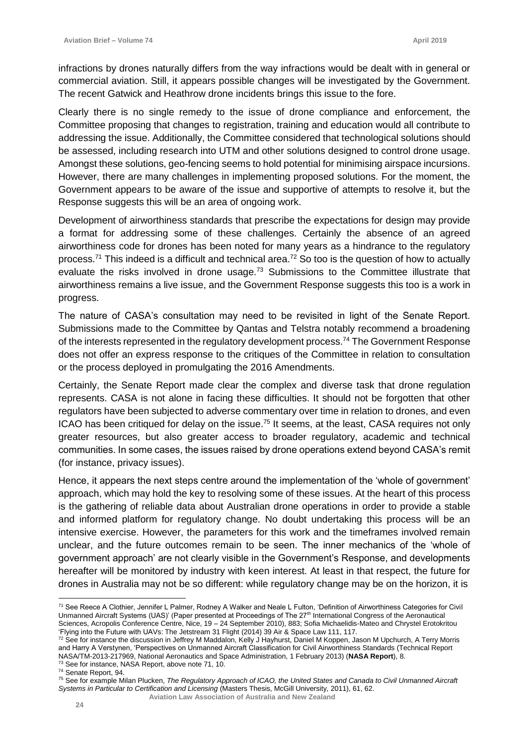infractions by drones naturally differs from the way infractions would be dealt with in general or commercial aviation. Still, it appears possible changes will be investigated by the Government. The recent Gatwick and Heathrow drone incidents brings this issue to the fore.

Clearly there is no single remedy to the issue of drone compliance and enforcement, the Committee proposing that changes to registration, training and education would all contribute to addressing the issue. Additionally, the Committee considered that technological solutions should be assessed, including research into UTM and other solutions designed to control drone usage. Amongst these solutions, geo-fencing seems to hold potential for minimising airspace incursions. However, there are many challenges in implementing proposed solutions. For the moment, the Government appears to be aware of the issue and supportive of attempts to resolve it, but the Response suggests this will be an area of ongoing work.

Development of airworthiness standards that prescribe the expectations for design may provide a format for addressing some of these challenges. Certainly the absence of an agreed airworthiness code for drones has been noted for many years as a hindrance to the regulatory process.<sup>71</sup> This indeed is a difficult and technical area.<sup>72</sup> So too is the question of how to actually evaluate the risks involved in drone usage.<sup>73</sup> Submissions to the Committee illustrate that airworthiness remains a live issue, and the Government Response suggests this too is a work in progress.

The nature of CASA's consultation may need to be revisited in light of the Senate Report. Submissions made to the Committee by Qantas and Telstra notably recommend a broadening of the interests represented in the regulatory development process.<sup>74</sup> The Government Response does not offer an express response to the critiques of the Committee in relation to consultation or the process deployed in promulgating the 2016 Amendments.

Certainly, the Senate Report made clear the complex and diverse task that drone regulation represents. CASA is not alone in facing these difficulties. It should not be forgotten that other regulators have been subjected to adverse commentary over time in relation to drones, and even ICAO has been critiqued for delay on the issue.<sup>75</sup> It seems, at the least, CASA requires not only greater resources, but also greater access to broader regulatory, academic and technical communities. In some cases, the issues raised by drone operations extend beyond CASA's remit (for instance, privacy issues).

Hence, it appears the next steps centre around the implementation of the 'whole of government' approach, which may hold the key to resolving some of these issues. At the heart of this process is the gathering of reliable data about Australian drone operations in order to provide a stable and informed platform for regulatory change. No doubt undertaking this process will be an intensive exercise. However, the parameters for this work and the timeframes involved remain unclear, and the future outcomes remain to be seen. The inner mechanics of the 'whole of government approach' are not clearly visible in the Government's Response, and developments hereafter will be monitored by industry with keen interest. At least in that respect, the future for drones in Australia may not be so different: while regulatory change may be on the horizon, it is

 $\overline{a}$ <sup>71</sup> See Reece A Clothier, Jennifer L Palmer, Rodney A Walker and Neale L Fulton, 'Definition of Airworthiness Categories for Civil Unmanned Aircraft Systems (UAS)' (Paper presented at Proceedings of The 27th International Congress of the Aeronautical Sciences, Acropolis Conference Centre, Nice, 19 – 24 September 2010), 883; Sofia Michaelidis-Mateo and Chrystel Erotokritou 'Flying into the Future with UAVs: The Jetstream 31 Flight (2014) 39 Air & Space Law 111, 117.

 $^{72}$  See for instance the discussion in Jeffrey M Maddalon, Kelly J Hayhurst, Daniel M Koppen, Jason M Upchurch, A Terry Morris and Harry A Verstynen, 'Perspectives on Unmanned Aircraft Classification for Civil Airworthiness Standards (Technical Report NASA/TM-2013-217969, National Aeronautics and Space Administration, 1 February 2013) (**NASA Report**), 8. <sup>73</sup> See for instance, NASA Report, above note 71, 10.

<sup>74</sup> Senate Report, 94.

<sup>75</sup> See for example Milan Plucken, *The Regulatory Approach of ICAO, the United States and Canada to Civil Unmanned Aircraft Systems in Particular to Certification and Licensing* (Masters Thesis, McGill University, 2011), 61, 62.

**Aviation Law Association of Australia and New Zealand**